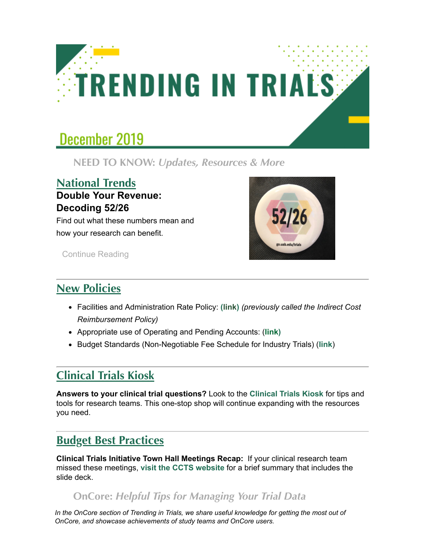

# December 2019

 **NEED TO KNOW:** *Updates, Resources & More*

#### **National Trends Double Your Revenue: Decoding 52/26**

Find out what these numbers mean and how your research can benefit.



[Continue Reading](http://click.reach.uab.edu/?qs=9a9e931db595bb1c0445245d3eefa06a15b30ea35f0f43c63c4c6c160e34c04bcd7138f88cf8be467b3cffc73b7018502a86d1d29d7c274e)

### **New Policies**

- Facilities and Administration Rate Policy: **([link\)](http://click.reach.uab.edu/?qs=9a9e931db595bb1cd379cf44f5d7ff5f0381398606a286c667b5ec5179f70d7e459131f6dd650eee26098d7c9bf494fad75595361c636a46)** *(previously called the Indirect Cost Reimbursement Policy)*
- Appropriate use of Operating and Pending Accounts: (**[link](http://click.reach.uab.edu/?qs=9a9e931db595bb1cf1576f9727806d7f99f79b3884b1c5a57b37e36a741d02f73e49982fc5357ade44f9478b91c99e02be461582a61cf52e))**
- Budget Standards [\(Non-Negotiable Fee Schedule for Industry Trials\)](http://click.reach.uab.edu/?qs=9a9e931db595bb1c5159c656306371432a2a7bc971abdc5e59008440ccdb4d04bb560e746292c4dc22eb380c3b08e5dabaf4b6c5b02d7008) (**[link](http://click.reach.uab.edu/?qs=9a9e931db595bb1ccaa563b4394619926a3cc5f2283b3f4e4b5a05011acd5a231efe764d47ccf0cd875064572915fda9f5a6ac9b7de22274)**)

## **Clinical Trials Kiosk**

**Answers to your clinical trial questions?** Look to the **[Clinical Trials Kiosk](http://click.reach.uab.edu/?qs=9a9e931db595bb1c8bcd834554283baff32f1974a1c82abd27c2abe26223be3a3a06fd1d8a29544ea0f709a5f5b3f455376f43d80bb16db4)** for tips and tools for research teams. This one-stop shop will continue expanding with the resources you need.

#### **Budget Best Practices**

**Clinical Trials Initiative Town Hall Meetings Recap:** If your clinical research team missed these meetings, **[visit the CCTS website](http://click.reach.uab.edu/?qs=9a9e931db595bb1c921392b78127e556d3d2150c8c6ceb2dcaee1c083788b91c0d1a81af3428eaa0b87a51d4ea7a51fa453181b425e7b8d7)** for a brief summary that includes the slide deck.

#### **OnCore:** *Helpful Tips for Managing Your Trial Data*

*In the OnCore section of Trending in Trials, we share useful knowledge for getting the most out of OnCore, and showcase achievements of study teams and OnCore users.*